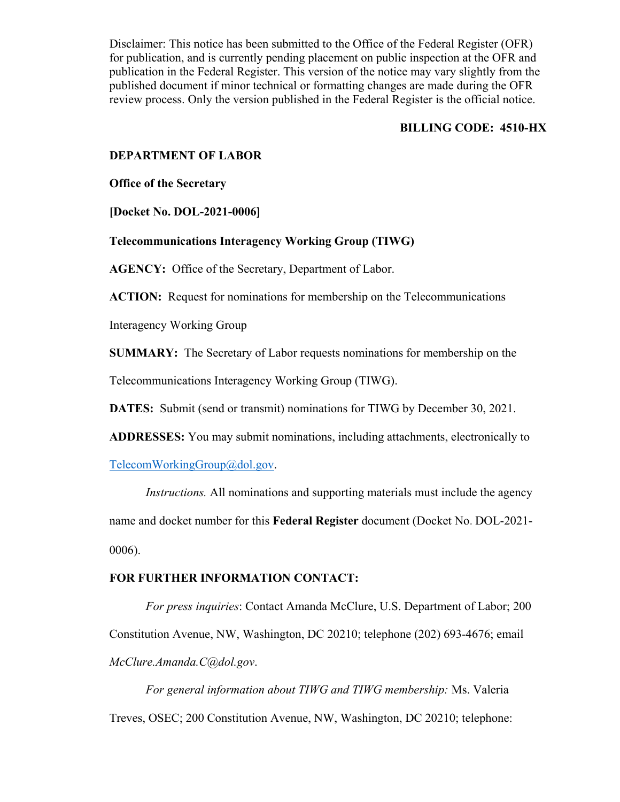#### **BILLING CODE: 4510-HX**

#### **DEPARTMENT OF LABOR**

**Office of the Secretary**

**[Docket No. DOL-2021-0006**]

**Telecommunications Interagency Working Group (TIWG)**

**AGENCY:** Office of the Secretary, Department of Labor.

**ACTION:** Request for nominations for membership on the Telecommunications

Interagency Working Group

**SUMMARY:** The Secretary of Labor requests nominations for membership on the

Telecommunications Interagency Working Group (TIWG).

**DATES:** Submit (send or transmit) nominations for TIWG by December 30, 2021.

**ADDRESSES:** You may submit nominations, including attachments, electronically to

[TelecomWorkingGroup@dol.gov.](mailto:TelecomWorkingGroup@dol.gov)

*Instructions.* All nominations and supporting materials must include the agency name and docket number for this **Federal Register** document (Docket No. DOL-2021- 0006).

### **FOR FURTHER INFORMATION CONTACT:**

*For press inquiries*: Contact Amanda McClure, U.S. Department of Labor; 200 Constitution Avenue, NW, Washington, DC 20210; telephone (202) 693-4676; email *McClure.Amanda.C@dol.gov*.

*For general information about TIWG and TIWG membership:* Ms. Valeria Treves, OSEC; 200 Constitution Avenue, NW, Washington, DC 20210; telephone: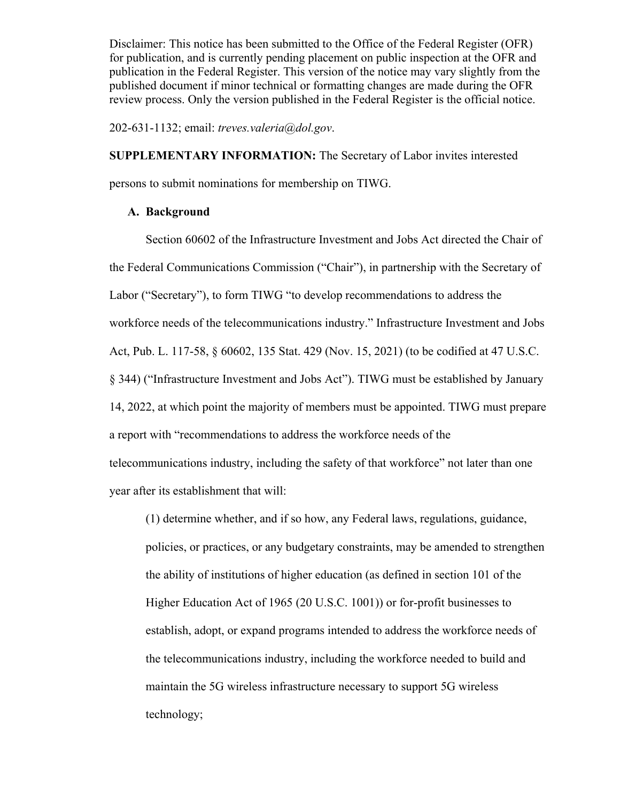202-631-1132; email: *treves.valeria@dol.gov*.

**SUPPLEMENTARY INFORMATION:** The Secretary of Labor invites interested

persons to submit nominations for membership on TIWG.

# **A. Background**

Section 60602 of the Infrastructure Investment and Jobs Act directed the Chair of the Federal Communications Commission ("Chair"), in partnership with the Secretary of Labor ("Secretary"), to form TIWG "to develop recommendations to address the workforce needs of the telecommunications industry." Infrastructure Investment and Jobs Act, Pub. L. 117-58, § 60602, 135 Stat. 429 (Nov. 15, 2021) (to be codified at 47 U.S.C. § 344) ("Infrastructure Investment and Jobs Act"). TIWG must be established by January 14, 2022, at which point the majority of members must be appointed. TIWG must prepare a report with "recommendations to address the workforce needs of the telecommunications industry, including the safety of that workforce" not later than one year after its establishment that will:

(1) determine whether, and if so how, any Federal laws, regulations, guidance, policies, or practices, or any budgetary constraints, may be amended to strengthen the ability of institutions of higher education (as defined in section 101 of the Higher Education Act of 1965 (20 U.S.C. 1001)) or for-profit businesses to establish, adopt, or expand programs intended to address the workforce needs of the telecommunications industry, including the workforce needed to build and maintain the 5G wireless infrastructure necessary to support 5G wireless technology;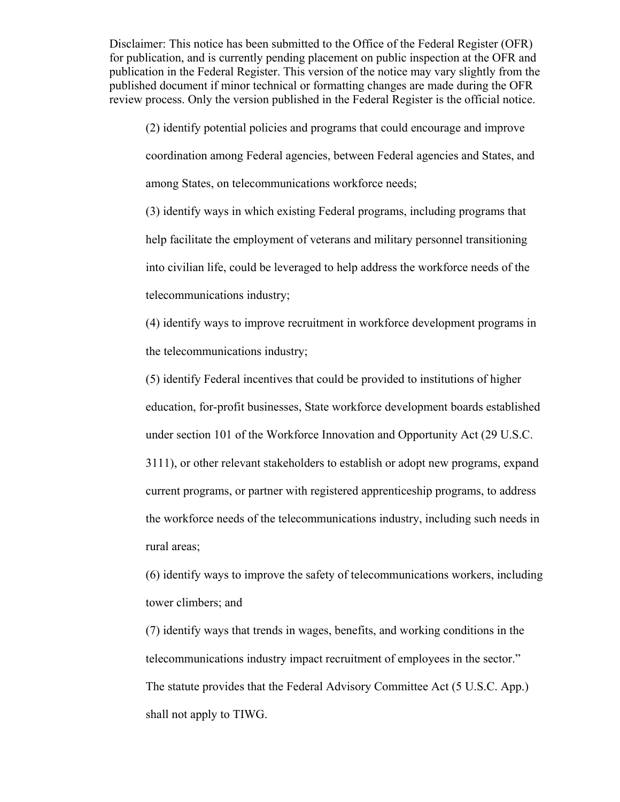(2) identify potential policies and programs that could encourage and improve coordination among Federal agencies, between Federal agencies and States, and among States, on telecommunications workforce needs;

(3) identify ways in which existing Federal programs, including programs that help facilitate the employment of veterans and military personnel transitioning into civilian life, could be leveraged to help address the workforce needs of the telecommunications industry;

(4) identify ways to improve recruitment in workforce development programs in the telecommunications industry;

(5) identify Federal incentives that could be provided to institutions of higher education, for-profit businesses, State workforce development boards established under section 101 of the Workforce Innovation and Opportunity Act (29 U.S.C.

3111), or other relevant stakeholders to establish or adopt new programs, expand current programs, or partner with registered apprenticeship programs, to address the workforce needs of the telecommunications industry, including such needs in rural areas;

(6) identify ways to improve the safety of telecommunications workers, including tower climbers; and

(7) identify ways that trends in wages, benefits, and working conditions in the telecommunications industry impact recruitment of employees in the sector." The statute provides that the Federal Advisory Committee Act (5 U.S.C. App.) shall not apply to TIWG.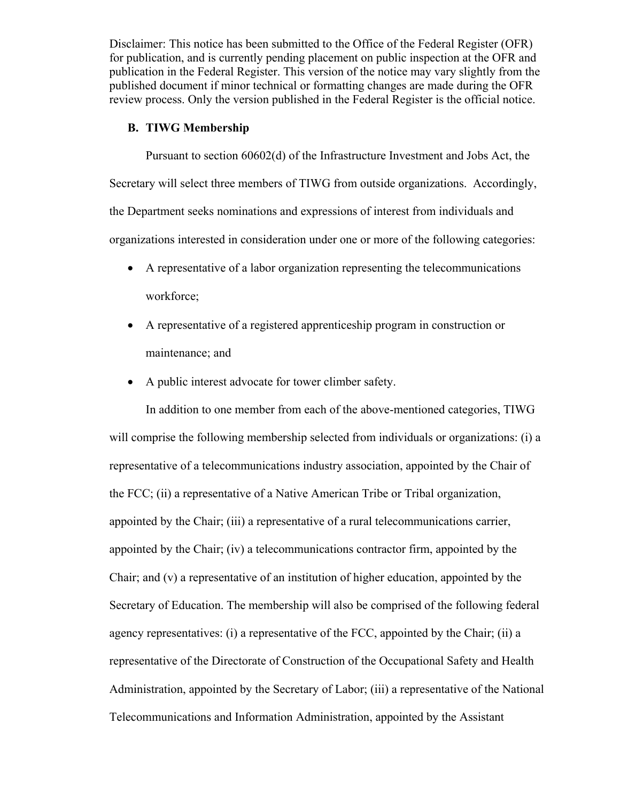### **B. TIWG Membership**

Pursuant to section 60602(d) of the Infrastructure Investment and Jobs Act, the Secretary will select three members of TIWG from outside organizations. Accordingly, the Department seeks nominations and expressions of interest from individuals and organizations interested in consideration under one or more of the following categories:

- A representative of a labor organization representing the telecommunications workforce;
- A representative of a registered apprenticeship program in construction or maintenance; and
- A public interest advocate for tower climber safety.

In addition to one member from each of the above-mentioned categories, TIWG will comprise the following membership selected from individuals or organizations: (i) a representative of a telecommunications industry association, appointed by the Chair of the FCC; (ii) a representative of a Native American Tribe or Tribal organization, appointed by the Chair; (iii) a representative of a rural telecommunications carrier, appointed by the Chair; (iv) a telecommunications contractor firm, appointed by the Chair; and (v) a representative of an institution of higher education, appointed by the Secretary of Education. The membership will also be comprised of the following federal agency representatives: (i) a representative of the FCC, appointed by the Chair; (ii) a representative of the Directorate of Construction of the Occupational Safety and Health Administration, appointed by the Secretary of Labor; (iii) a representative of the National Telecommunications and Information Administration, appointed by the Assistant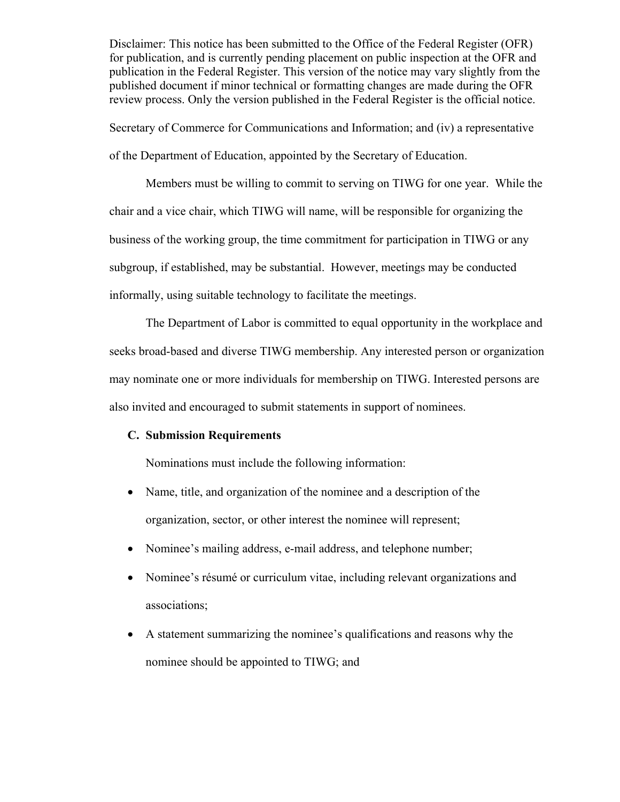Secretary of Commerce for Communications and Information; and (iv) a representative of the Department of Education, appointed by the Secretary of Education.

Members must be willing to commit to serving on TIWG for one year. While the chair and a vice chair, which TIWG will name, will be responsible for organizing the business of the working group, the time commitment for participation in TIWG or any subgroup, if established, may be substantial. However, meetings may be conducted informally, using suitable technology to facilitate the meetings.

The Department of Labor is committed to equal opportunity in the workplace and seeks broad-based and diverse TIWG membership. Any interested person or organization may nominate one or more individuals for membership on TIWG. Interested persons are also invited and encouraged to submit statements in support of nominees.

# **C. Submission Requirements**

Nominations must include the following information:

- Name, title, and organization of the nominee and a description of the organization, sector, or other interest the nominee will represent;
- Nominee's mailing address, e-mail address, and telephone number;
- Nominee's résumé or curriculum vitae, including relevant organizations and associations;
- A statement summarizing the nominee's qualifications and reasons why the nominee should be appointed to TIWG; and